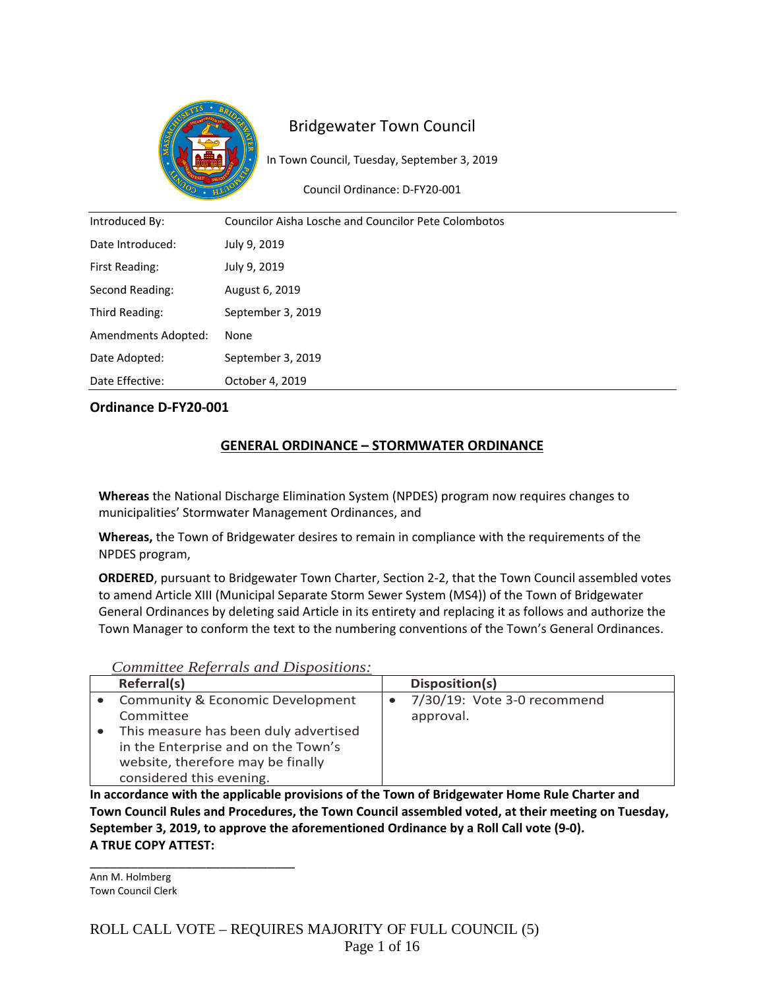

# Bridgewater Town Council

In Town Council, Tuesday, September 3, 2019

Council Ordinance: D-FY20-001

| Introduced By:      | Councilor Aisha Losche and Councilor Pete Colombotos |  |  |
|---------------------|------------------------------------------------------|--|--|
| Date Introduced:    | July 9, 2019                                         |  |  |
| First Reading:      | July 9, 2019                                         |  |  |
| Second Reading:     | August 6, 2019                                       |  |  |
| Third Reading:      | September 3, 2019                                    |  |  |
| Amendments Adopted: | None                                                 |  |  |
| Date Adopted:       | September 3, 2019                                    |  |  |
| Date Effective:     | October 4, 2019                                      |  |  |

#### **Ordinance D-FY20-001**

#### **GENERAL ORDINANCE – STORMWATER ORDINANCE**

**Whereas** the National Discharge Elimination System (NPDES) program now requires changes to municipalities' Stormwater Management Ordinances, and

**Whereas,** the Town of Bridgewater desires to remain in compliance with the requirements of the NPDES program,

**ORDERED**, pursuant to Bridgewater Town Charter, Section 2-2, that the Town Council assembled votes to amend Article XIII (Municipal Separate Storm Sewer System (MS4)) of the Town of Bridgewater General Ordinances by deleting said Article in its entirety and replacing it as follows and authorize the Town Manager to conform the text to the numbering conventions of the Town's General Ordinances.

*Committee Referrals and Dispositions:*

| Referral(s)                                 | Disposition(s)              |
|---------------------------------------------|-----------------------------|
| <b>Community &amp; Economic Development</b> | 7/30/19: Vote 3-0 recommend |
| Committee                                   | approval.                   |
| This measure has been duly advertised       |                             |
| in the Enterprise and on the Town's         |                             |
| website, therefore may be finally           |                             |
| considered this evening.                    |                             |

**In accordance with the applicable provisions of the Town of Bridgewater Home Rule Charter and Town Council Rules and Procedures, the Town Council assembled voted, at their meeting on Tuesday, September 3, 2019, to approve the aforementioned Ordinance by a Roll Call vote (9-0). A TRUE COPY ATTEST:**

Ann M. Holmberg Town Council Clerk

\_\_\_\_\_\_\_\_\_\_\_\_\_\_\_\_\_\_\_\_\_\_\_\_\_\_\_\_\_\_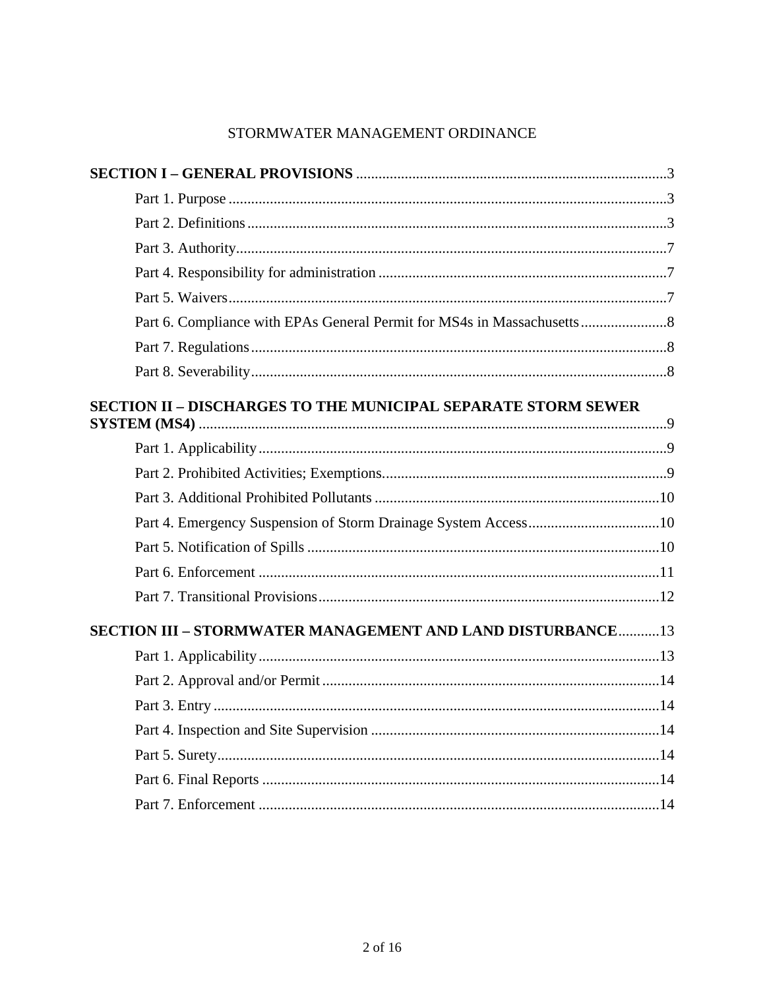# STORMWATER MANAGEMENT ORDINANCE

| SECTION II - DISCHARGES TO THE MUNICIPAL SEPARATE STORM SEWER      |  |
|--------------------------------------------------------------------|--|
|                                                                    |  |
|                                                                    |  |
|                                                                    |  |
|                                                                    |  |
|                                                                    |  |
|                                                                    |  |
|                                                                    |  |
|                                                                    |  |
| <b>SECTION III - STORMWATER MANAGEMENT AND LAND DISTURBANCE 13</b> |  |
|                                                                    |  |
|                                                                    |  |
|                                                                    |  |
|                                                                    |  |
|                                                                    |  |
|                                                                    |  |
|                                                                    |  |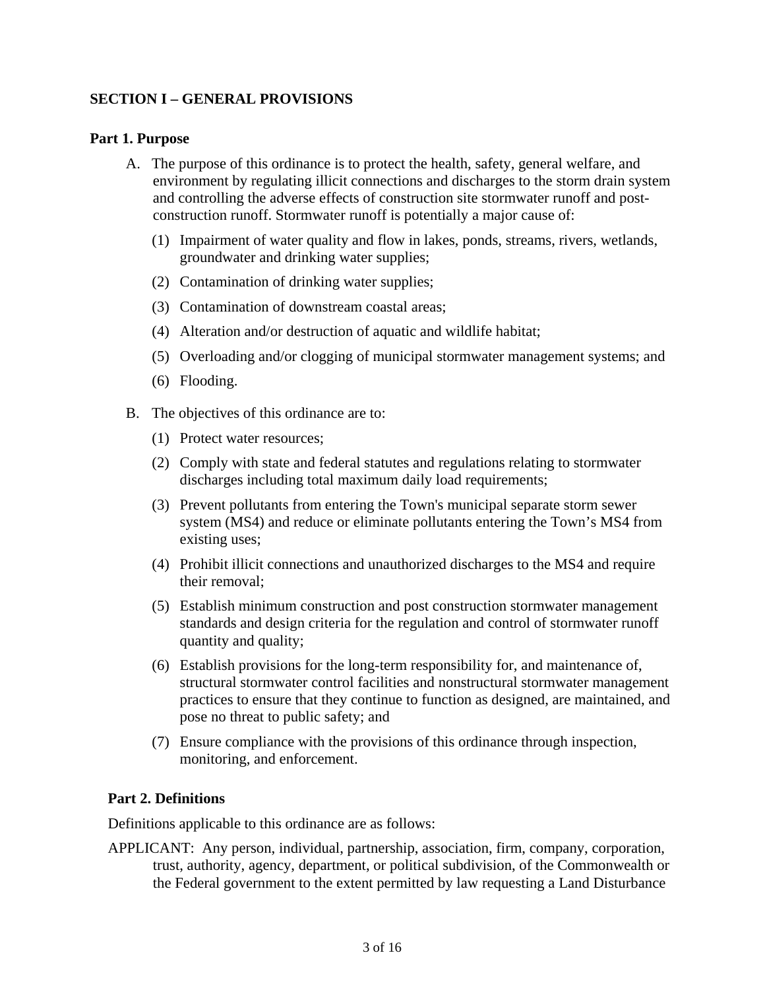# <span id="page-2-0"></span>**SECTION I – GENERAL PROVISIONS**

#### <span id="page-2-1"></span>**Part 1. Purpose**

- A. The purpose of this ordinance is to protect the health, safety, general welfare, and environment by regulating illicit connections and discharges to the storm drain system and controlling the adverse effects of construction site stormwater runoff and postconstruction runoff. Stormwater runoff is potentially a major cause of:
	- (1) Impairment of water quality and flow in lakes, ponds, streams, rivers, wetlands, groundwater and drinking water supplies;
	- (2) Contamination of drinking water supplies;
	- (3) Contamination of downstream coastal areas;
	- (4) Alteration and/or destruction of aquatic and wildlife habitat;
	- (5) Overloading and/or clogging of municipal stormwater management systems; and
	- (6) Flooding.
- B. The objectives of this ordinance are to:
	- (1) Protect water resources;
	- (2) Comply with state and federal statutes and regulations relating to stormwater discharges including total maximum daily load requirements;
	- (3) Prevent pollutants from entering the Town's municipal separate storm sewer system (MS4) and reduce or eliminate pollutants entering the Town's MS4 from existing uses;
	- (4) Prohibit illicit connections and unauthorized discharges to the MS4 and require their removal;
	- (5) Establish minimum construction and post construction stormwater management standards and design criteria for the regulation and control of stormwater runoff quantity and quality;
	- (6) Establish provisions for the long-term responsibility for, and maintenance of, structural stormwater control facilities and nonstructural stormwater management practices to ensure that they continue to function as designed, are maintained, and pose no threat to public safety; and
	- (7) Ensure compliance with the provisions of this ordinance through inspection, monitoring, and enforcement.

# <span id="page-2-2"></span>**Part 2. Definitions**

Definitions applicable to this ordinance are as follows:

APPLICANT: Any person, individual, partnership, association, firm, company, corporation, trust, authority, agency, department, or political subdivision, of the Commonwealth or the Federal government to the extent permitted by law requesting a Land Disturbance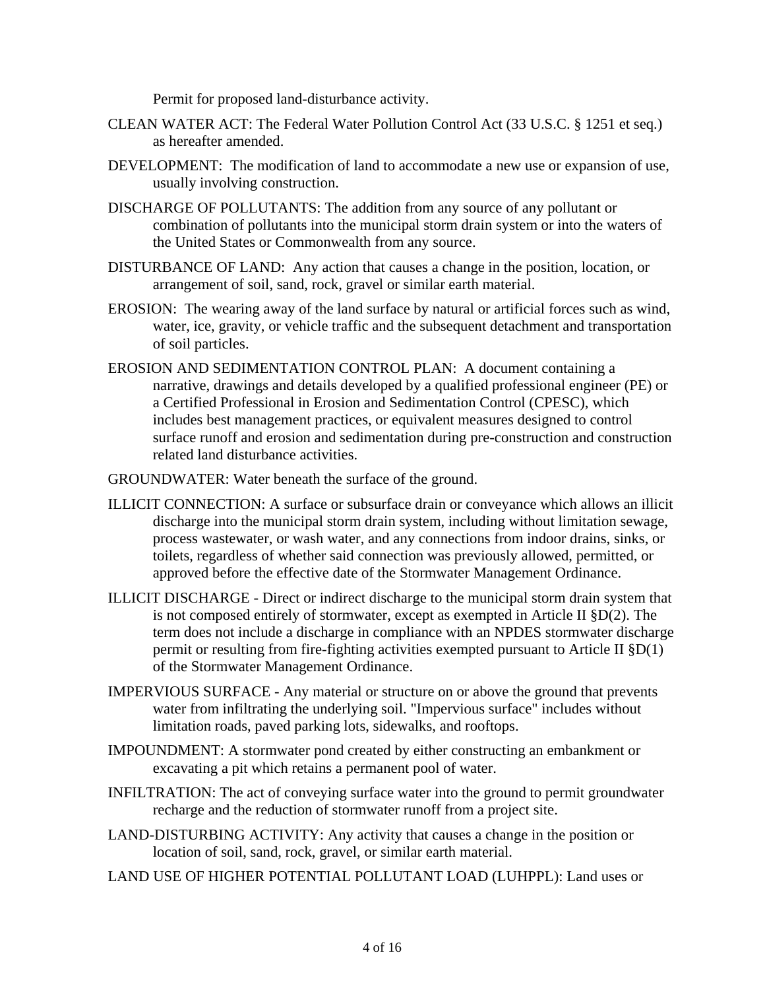Permit for proposed land-disturbance activity.

- CLEAN WATER ACT: The Federal Water Pollution Control Act (33 U.S.C. § 1251 et seq.) as hereafter amended.
- DEVELOPMENT: The modification of land to accommodate a new use or expansion of use, usually involving construction.
- DISCHARGE OF POLLUTANTS: The addition from any source of any pollutant or combination of pollutants into the municipal storm drain system or into the waters of the United States or Commonwealth from any source.
- DISTURBANCE OF LAND: Any action that causes a change in the position, location, or arrangement of soil, sand, rock, gravel or similar earth material.
- EROSION: The wearing away of the land surface by natural or artificial forces such as wind, water, ice, gravity, or vehicle traffic and the subsequent detachment and transportation of soil particles.
- EROSION AND SEDIMENTATION CONTROL PLAN: A document containing a narrative, drawings and details developed by a qualified professional engineer (PE) or a Certified Professional in Erosion and Sedimentation Control (CPESC), which includes best management practices, or equivalent measures designed to control surface runoff and erosion and sedimentation during pre-construction and construction related land disturbance activities.
- GROUNDWATER: Water beneath the surface of the ground.
- ILLICIT CONNECTION: A surface or subsurface drain or conveyance which allows an illicit discharge into the municipal storm drain system, including without limitation sewage, process wastewater, or wash water, and any connections from indoor drains, sinks, or toilets, regardless of whether said connection was previously allowed, permitted, or approved before the effective date of the Stormwater Management Ordinance.
- ILLICIT DISCHARGE Direct or indirect discharge to the municipal storm drain system that is not composed entirely of stormwater, except as exempted in Article II §D(2). The term does not include a discharge in compliance with an NPDES stormwater discharge permit or resulting from fire-fighting activities exempted pursuant to Article II §D(1) of the Stormwater Management Ordinance.
- IMPERVIOUS SURFACE Any material or structure on or above the ground that prevents water from infiltrating the underlying soil. "Impervious surface" includes without limitation roads, paved parking lots, sidewalks, and rooftops.
- IMPOUNDMENT: A stormwater pond created by either constructing an embankment or excavating a pit which retains a permanent pool of water.
- INFILTRATION: The act of conveying surface water into the ground to permit groundwater recharge and the reduction of stormwater runoff from a project site.
- LAND-DISTURBING ACTIVITY: Any activity that causes a change in the position or location of soil, sand, rock, gravel, or similar earth material.
- LAND USE OF HIGHER POTENTIAL POLLUTANT LOAD (LUHPPL): Land uses or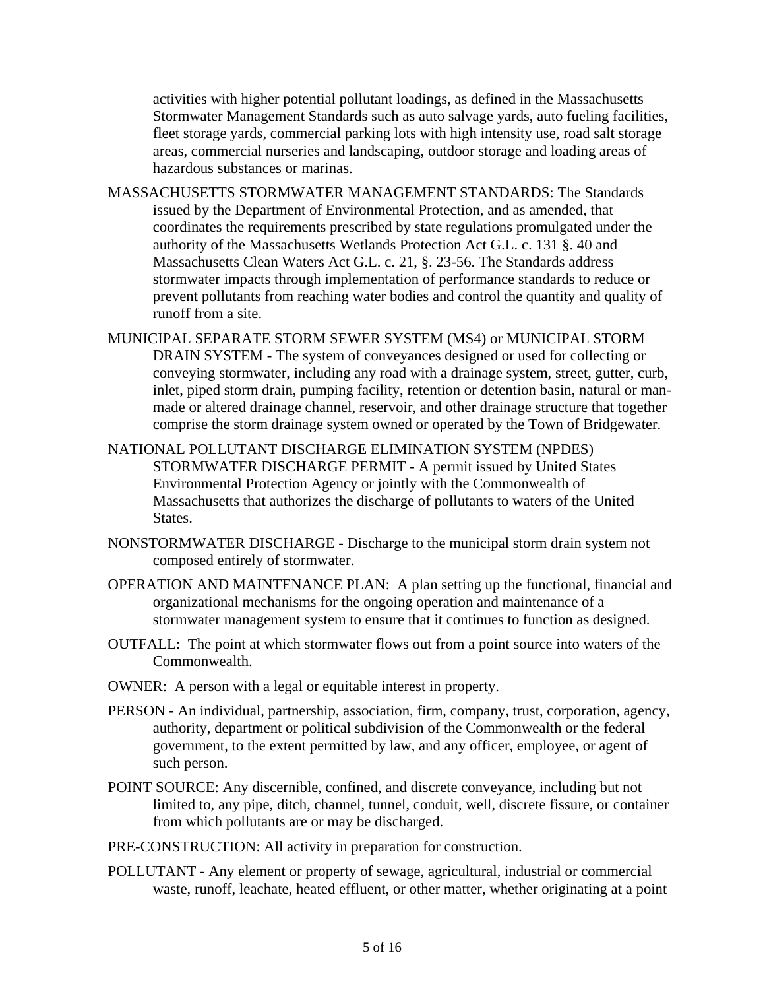activities with higher potential pollutant loadings, as defined in the Massachusetts Stormwater Management Standards such as auto salvage yards, auto fueling facilities, fleet storage yards, commercial parking lots with high intensity use, road salt storage areas, commercial nurseries and landscaping, outdoor storage and loading areas of hazardous substances or marinas.

- MASSACHUSETTS STORMWATER MANAGEMENT STANDARDS: The Standards issued by the Department of Environmental Protection, and as amended, that coordinates the requirements prescribed by state regulations promulgated under the authority of the Massachusetts Wetlands Protection Act G.L. c. 131 §. 40 and Massachusetts Clean Waters Act G.L. c. 21, §. 23-56. The Standards address stormwater impacts through implementation of performance standards to reduce or prevent pollutants from reaching water bodies and control the quantity and quality of runoff from a site.
- MUNICIPAL SEPARATE STORM SEWER SYSTEM (MS4) or MUNICIPAL STORM DRAIN SYSTEM - The system of conveyances designed or used for collecting or conveying stormwater, including any road with a drainage system, street, gutter, curb, inlet, piped storm drain, pumping facility, retention or detention basin, natural or manmade or altered drainage channel, reservoir, and other drainage structure that together comprise the storm drainage system owned or operated by the Town of Bridgewater.
- NATIONAL POLLUTANT DISCHARGE ELIMINATION SYSTEM (NPDES) STORMWATER DISCHARGE PERMIT - A permit issued by United States Environmental Protection Agency or jointly with the Commonwealth of Massachusetts that authorizes the discharge of pollutants to waters of the United States.
- NONSTORMWATER DISCHARGE Discharge to the municipal storm drain system not composed entirely of stormwater.
- OPERATION AND MAINTENANCE PLAN: A plan setting up the functional, financial and organizational mechanisms for the ongoing operation and maintenance of a stormwater management system to ensure that it continues to function as designed.
- OUTFALL: The point at which stormwater flows out from a point source into waters of the Commonwealth.
- OWNER: A person with a legal or equitable interest in property.
- PERSON An individual, partnership, association, firm, company, trust, corporation, agency, authority, department or political subdivision of the Commonwealth or the federal government, to the extent permitted by law, and any officer, employee, or agent of such person.
- POINT SOURCE: Any discernible, confined, and discrete conveyance, including but not limited to, any pipe, ditch, channel, tunnel, conduit, well, discrete fissure, or container from which pollutants are or may be discharged.
- PRE-CONSTRUCTION: All activity in preparation for construction.
- POLLUTANT Any element or property of sewage, agricultural, industrial or commercial waste, runoff, leachate, heated effluent, or other matter, whether originating at a point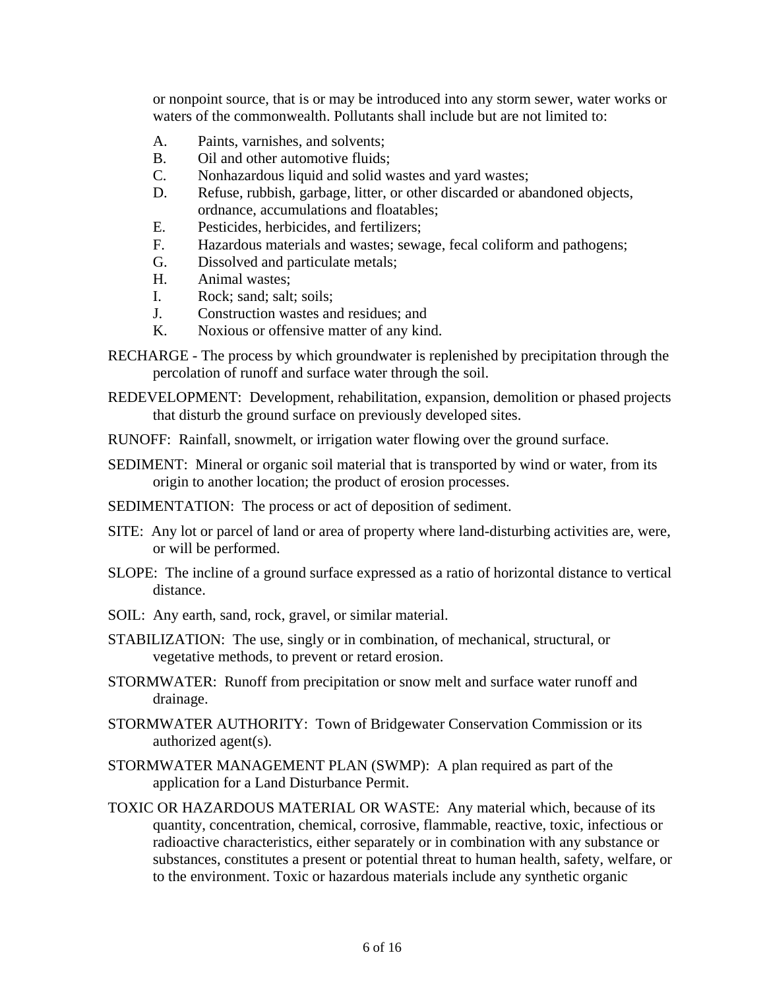or nonpoint source, that is or may be introduced into any storm sewer, water works or waters of the commonwealth. Pollutants shall include but are not limited to:

- A. Paints, varnishes, and solvents;
- B. Oil and other automotive fluids;
- C. Nonhazardous liquid and solid wastes and yard wastes;
- D. Refuse, rubbish, garbage, litter, or other discarded or abandoned objects, ordnance, accumulations and floatables;
- E. Pesticides, herbicides, and fertilizers;
- F. Hazardous materials and wastes; sewage, fecal coliform and pathogens;
- G. Dissolved and particulate metals;
- H. Animal wastes;
- I. Rock; sand; salt; soils;
- J. Construction wastes and residues; and
- K. Noxious or offensive matter of any kind.
- RECHARGE The process by which groundwater is replenished by precipitation through the percolation of runoff and surface water through the soil.
- REDEVELOPMENT: Development, rehabilitation, expansion, demolition or phased projects that disturb the ground surface on previously developed sites.
- RUNOFF: Rainfall, snowmelt, or irrigation water flowing over the ground surface.
- SEDIMENT: Mineral or organic soil material that is transported by wind or water, from its origin to another location; the product of erosion processes.
- SEDIMENTATION: The process or act of deposition of sediment.
- SITE: Any lot or parcel of land or area of property where land-disturbing activities are, were, or will be performed.
- SLOPE: The incline of a ground surface expressed as a ratio of horizontal distance to vertical distance.
- SOIL: Any earth, sand, rock, gravel, or similar material.
- STABILIZATION: The use, singly or in combination, of mechanical, structural, or vegetative methods, to prevent or retard erosion.
- STORMWATER: Runoff from precipitation or snow melt and surface water runoff and drainage.
- STORMWATER AUTHORITY: Town of Bridgewater Conservation Commission or its authorized agent(s).
- STORMWATER MANAGEMENT PLAN (SWMP): A plan required as part of the application for a Land Disturbance Permit.
- TOXIC OR HAZARDOUS MATERIAL OR WASTE: Any material which, because of its quantity, concentration, chemical, corrosive, flammable, reactive, toxic, infectious or radioactive characteristics, either separately or in combination with any substance or substances, constitutes a present or potential threat to human health, safety, welfare, or to the environment. Toxic or hazardous materials include any synthetic organic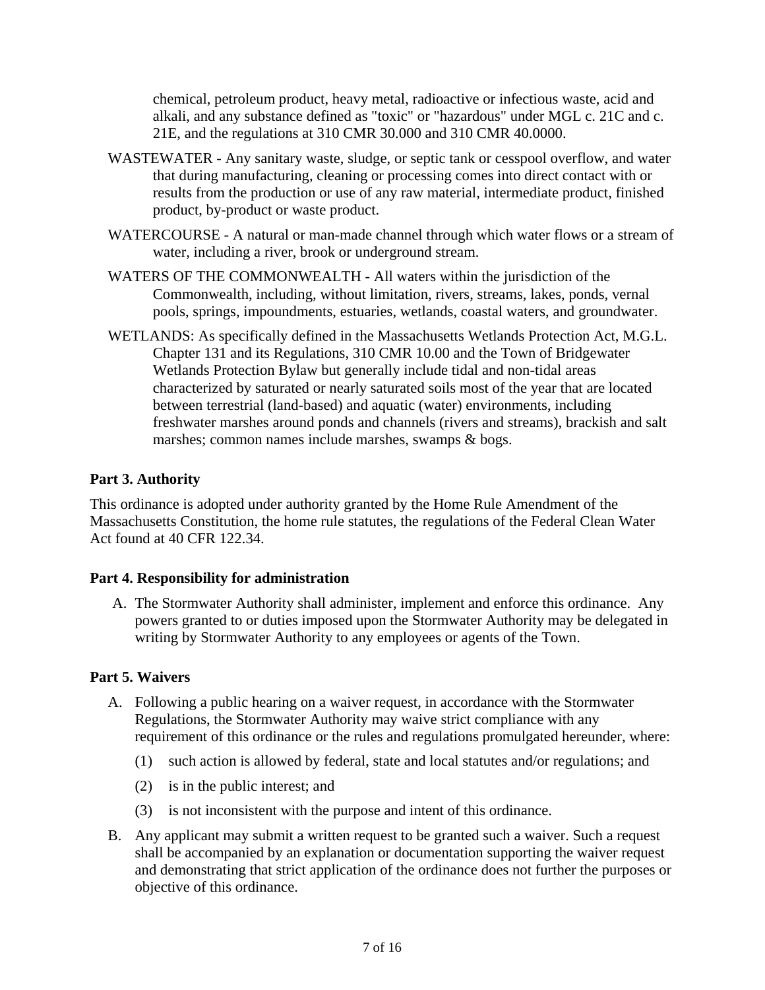chemical, petroleum product, heavy metal, radioactive or infectious waste, acid and alkali, and any substance defined as "toxic" or "hazardous" under MGL c. 21C and c. 21E, and the regulations at 310 CMR 30.000 and 310 CMR 40.0000.

- WASTEWATER Any sanitary waste, sludge, or septic tank or cesspool overflow, and water that during manufacturing, cleaning or processing comes into direct contact with or results from the production or use of any raw material, intermediate product, finished product, by-product or waste product.
- WATERCOURSE A natural or man-made channel through which water flows or a stream of water, including a river, brook or underground stream.
- WATERS OF THE COMMONWEALTH All waters within the jurisdiction of the Commonwealth, including, without limitation, rivers, streams, lakes, ponds, vernal pools, springs, impoundments, estuaries, wetlands, coastal waters, and groundwater.
- WETLANDS: As specifically defined in the Massachusetts Wetlands Protection Act, M.G.L. Chapter 131 and its Regulations, 310 CMR 10.00 and the Town of Bridgewater Wetlands Protection Bylaw but generally include tidal and non-tidal areas characterized by saturated or nearly saturated soils most of the year that are located between terrestrial (land-based) and aquatic (water) environments, including freshwater marshes around ponds and channels (rivers and streams), brackish and salt marshes; common names include marshes, swamps & bogs.

#### <span id="page-6-0"></span>**Part 3. Authority**

This ordinance is adopted under authority granted by the Home Rule Amendment of the Massachusetts Constitution, the home rule statutes, the regulations of the Federal Clean Water Act found at 40 CFR 122.34.

#### <span id="page-6-1"></span>**Part 4. Responsibility for administration**

A. The Stormwater Authority shall administer, implement and enforce this ordinance. Any powers granted to or duties imposed upon the Stormwater Authority may be delegated in writing by Stormwater Authority to any employees or agents of the Town.

#### <span id="page-6-2"></span>**Part 5. Waivers**

- A. Following a public hearing on a waiver request, in accordance with the Stormwater Regulations, the Stormwater Authority may waive strict compliance with any requirement of this ordinance or the rules and regulations promulgated hereunder, where:
	- (1) such action is allowed by federal, state and local statutes and/or regulations; and
	- (2) is in the public interest; and
	- (3) is not inconsistent with the purpose and intent of this ordinance.
- B. Any applicant may submit a written request to be granted such a waiver. Such a request shall be accompanied by an explanation or documentation supporting the waiver request and demonstrating that strict application of the ordinance does not further the purposes or objective of this ordinance.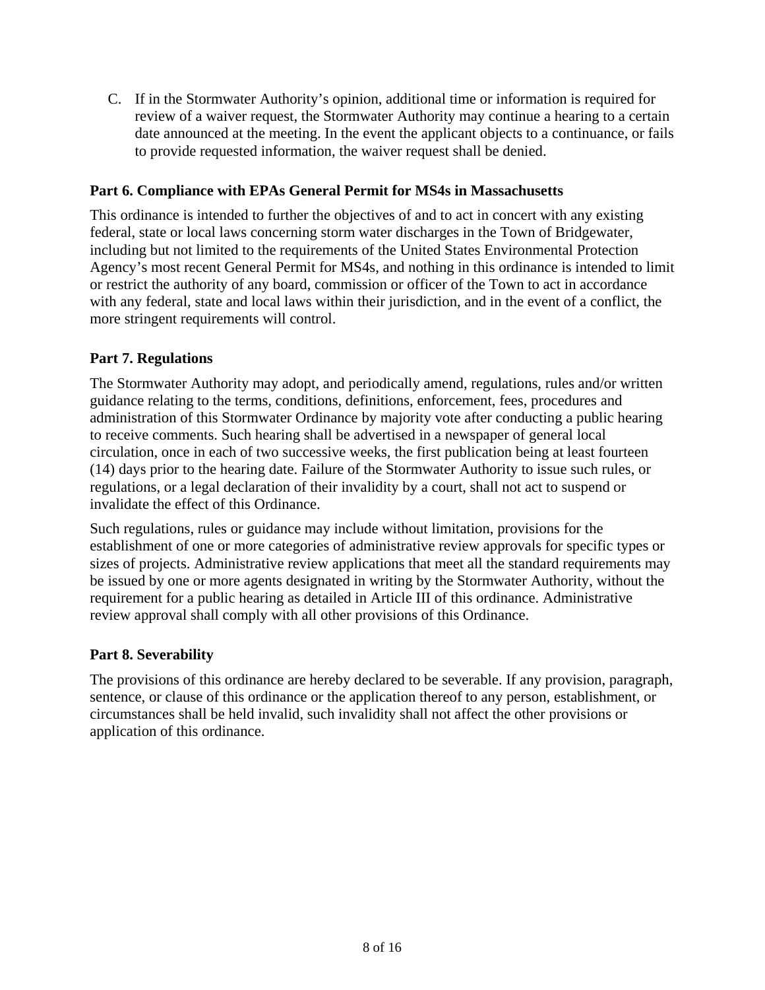C. If in the Stormwater Authority's opinion, additional time or information is required for review of a waiver request, the Stormwater Authority may continue a hearing to a certain date announced at the meeting. In the event the applicant objects to a continuance, or fails to provide requested information, the waiver request shall be denied.

### <span id="page-7-0"></span>**Part 6. Compliance with EPAs General Permit for MS4s in Massachusetts**

This ordinance is intended to further the objectives of and to act in concert with any existing federal, state or local laws concerning storm water discharges in the Town of Bridgewater, including but not limited to the requirements of the United States Environmental Protection Agency's most recent General Permit for MS4s, and nothing in this ordinance is intended to limit or restrict the authority of any board, commission or officer of the Town to act in accordance with any federal, state and local laws within their jurisdiction, and in the event of a conflict, the more stringent requirements will control.

#### <span id="page-7-1"></span>**Part 7. Regulations**

The Stormwater Authority may adopt, and periodically amend, regulations, rules and/or written guidance relating to the terms, conditions, definitions, enforcement, fees, procedures and administration of this Stormwater Ordinance by majority vote after conducting a public hearing to receive comments. Such hearing shall be advertised in a newspaper of general local circulation, once in each of two successive weeks, the first publication being at least fourteen (14) days prior to the hearing date. Failure of the Stormwater Authority to issue such rules, or regulations, or a legal declaration of their invalidity by a court, shall not act to suspend or invalidate the effect of this Ordinance.

Such regulations, rules or guidance may include without limitation, provisions for the establishment of one or more categories of administrative review approvals for specific types or sizes of projects. Administrative review applications that meet all the standard requirements may be issued by one or more agents designated in writing by the Stormwater Authority, without the requirement for a public hearing as detailed in Article III of this ordinance. Administrative review approval shall comply with all other provisions of this Ordinance.

#### <span id="page-7-2"></span>**Part 8. Severability**

The provisions of this ordinance are hereby declared to be severable. If any provision, paragraph, sentence, or clause of this ordinance or the application thereof to any person, establishment, or circumstances shall be held invalid, such invalidity shall not affect the other provisions or application of this ordinance.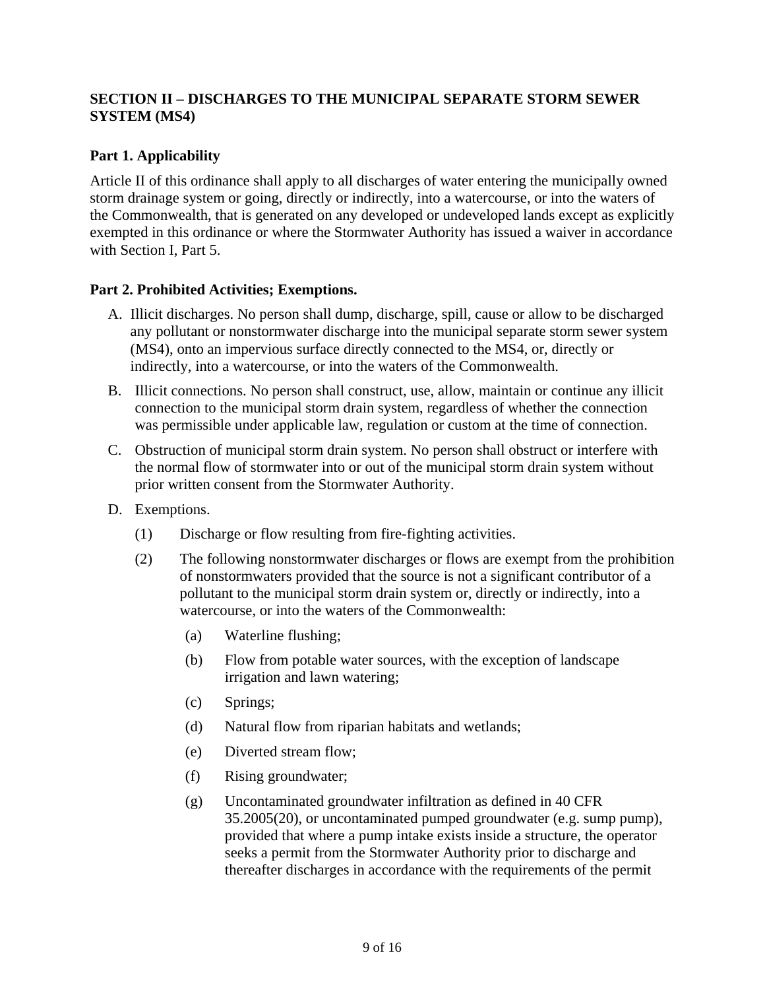# <span id="page-8-0"></span>**SECTION II – DISCHARGES TO THE MUNICIPAL SEPARATE STORM SEWER SYSTEM (MS4)**

# <span id="page-8-1"></span>**Part 1. Applicability**

Article II of this ordinance shall apply to all discharges of water entering the municipally owned storm drainage system or going, directly or indirectly, into a watercourse, or into the waters of the Commonwealth, that is generated on any developed or undeveloped lands except as explicitly exempted in this ordinance or where the Stormwater Authority has issued a waiver in accordance with Section I, Part 5.

#### <span id="page-8-2"></span>**Part 2. Prohibited Activities; Exemptions.**

- A. Illicit discharges. No person shall dump, discharge, spill, cause or allow to be discharged any pollutant or nonstormwater discharge into the municipal separate storm sewer system (MS4), onto an impervious surface directly connected to the MS4, or, directly or indirectly, into a watercourse, or into the waters of the Commonwealth.
- B. Illicit connections. No person shall construct, use, allow, maintain or continue any illicit connection to the municipal storm drain system, regardless of whether the connection was permissible under applicable law, regulation or custom at the time of connection.
- C. Obstruction of municipal storm drain system. No person shall obstruct or interfere with the normal flow of stormwater into or out of the municipal storm drain system without prior written consent from the Stormwater Authority.
- D. Exemptions.
	- (1) Discharge or flow resulting from fire-fighting activities.
	- (2) The following nonstormwater discharges or flows are exempt from the prohibition of nonstormwaters provided that the source is not a significant contributor of a pollutant to the municipal storm drain system or, directly or indirectly, into a watercourse, or into the waters of the Commonwealth:
		- (a) Waterline flushing;
		- (b) Flow from potable water sources, with the exception of landscape irrigation and lawn watering;
		- (c) Springs;
		- (d) Natural flow from riparian habitats and wetlands;
		- (e) Diverted stream flow;
		- (f) Rising groundwater;
		- (g) Uncontaminated groundwater infiltration as defined in 40 CFR 35.2005(20), or uncontaminated pumped groundwater (e.g. sump pump), provided that where a pump intake exists inside a structure, the operator seeks a permit from the Stormwater Authority prior to discharge and thereafter discharges in accordance with the requirements of the permit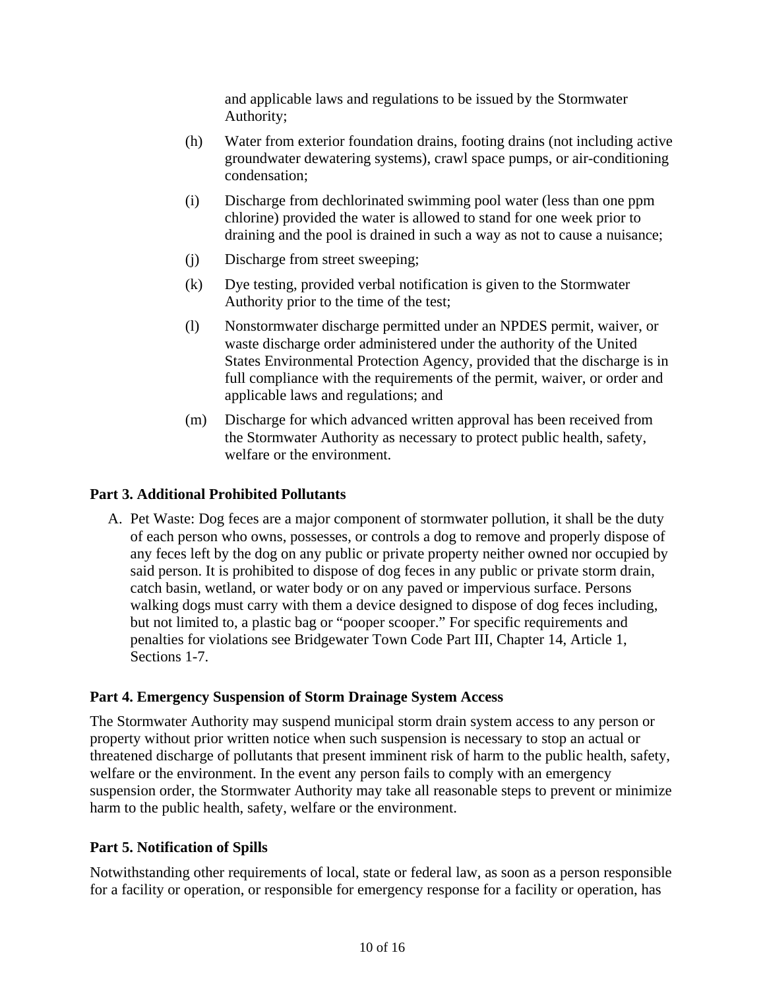and applicable laws and regulations to be issued by the Stormwater Authority;

- (h) Water from exterior foundation drains, footing drains (not including active groundwater dewatering systems), crawl space pumps, or air-conditioning condensation;
- (i) Discharge from dechlorinated swimming pool water (less than one ppm chlorine) provided the water is allowed to stand for one week prior to draining and the pool is drained in such a way as not to cause a nuisance;
- (j) Discharge from street sweeping;
- (k) Dye testing, provided verbal notification is given to the Stormwater Authority prior to the time of the test;
- (l) Nonstormwater discharge permitted under an NPDES permit, waiver, or waste discharge order administered under the authority of the United States Environmental Protection Agency, provided that the discharge is in full compliance with the requirements of the permit, waiver, or order and applicable laws and regulations; and
- (m) Discharge for which advanced written approval has been received from the Stormwater Authority as necessary to protect public health, safety, welfare or the environment.

#### <span id="page-9-0"></span>**Part 3. Additional Prohibited Pollutants**

A. Pet Waste: Dog feces are a major component of stormwater pollution, it shall be the duty of each person who owns, possesses, or controls a dog to remove and properly dispose of any feces left by the dog on any public or private property neither owned nor occupied by said person. It is prohibited to dispose of dog feces in any public or private storm drain, catch basin, wetland, or water body or on any paved or impervious surface. Persons walking dogs must carry with them a device designed to dispose of dog feces including, but not limited to, a plastic bag or "pooper scooper." For specific requirements and penalties for violations see Bridgewater Town Code Part III, Chapter 14, Article 1, Sections 1-7.

#### <span id="page-9-1"></span>**Part 4. Emergency Suspension of Storm Drainage System Access**

The Stormwater Authority may suspend municipal storm drain system access to any person or property without prior written notice when such suspension is necessary to stop an actual or threatened discharge of pollutants that present imminent risk of harm to the public health, safety, welfare or the environment. In the event any person fails to comply with an emergency suspension order, the Stormwater Authority may take all reasonable steps to prevent or minimize harm to the public health, safety, welfare or the environment.

#### <span id="page-9-2"></span>**Part 5. Notification of Spills**

Notwithstanding other requirements of local, state or federal law, as soon as a person responsible for a facility or operation, or responsible for emergency response for a facility or operation, has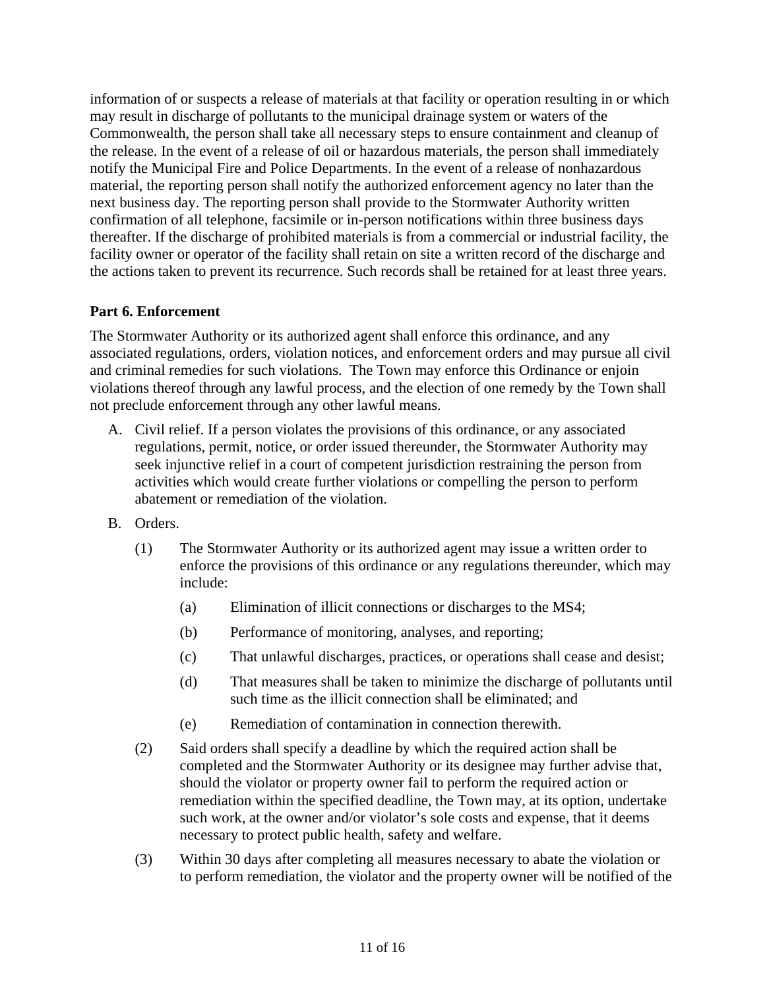information of or suspects a release of materials at that facility or operation resulting in or which may result in discharge of pollutants to the municipal drainage system or waters of the Commonwealth, the person shall take all necessary steps to ensure containment and cleanup of the release. In the event of a release of oil or hazardous materials, the person shall immediately notify the Municipal Fire and Police Departments. In the event of a release of nonhazardous material, the reporting person shall notify the authorized enforcement agency no later than the next business day. The reporting person shall provide to the Stormwater Authority written confirmation of all telephone, facsimile or in-person notifications within three business days thereafter. If the discharge of prohibited materials is from a commercial or industrial facility, the facility owner or operator of the facility shall retain on site a written record of the discharge and the actions taken to prevent its recurrence. Such records shall be retained for at least three years.

#### <span id="page-10-0"></span>**Part 6. Enforcement**

The Stormwater Authority or its authorized agent shall enforce this ordinance, and any associated regulations, orders, violation notices, and enforcement orders and may pursue all civil and criminal remedies for such violations. The Town may enforce this Ordinance or enjoin violations thereof through any lawful process, and the election of one remedy by the Town shall not preclude enforcement through any other lawful means.

- A. Civil relief. If a person violates the provisions of this ordinance, or any associated regulations, permit, notice, or order issued thereunder, the Stormwater Authority may seek injunctive relief in a court of competent jurisdiction restraining the person from activities which would create further violations or compelling the person to perform abatement or remediation of the violation.
- B. Orders.
	- (1) The Stormwater Authority or its authorized agent may issue a written order to enforce the provisions of this ordinance or any regulations thereunder, which may include:
		- (a) Elimination of illicit connections or discharges to the MS4;
		- (b) Performance of monitoring, analyses, and reporting;
		- (c) That unlawful discharges, practices, or operations shall cease and desist;
		- (d) That measures shall be taken to minimize the discharge of pollutants until such time as the illicit connection shall be eliminated; and
		- (e) Remediation of contamination in connection therewith.
	- (2) Said orders shall specify a deadline by which the required action shall be completed and the Stormwater Authority or its designee may further advise that, should the violator or property owner fail to perform the required action or remediation within the specified deadline, the Town may, at its option, undertake such work, at the owner and/or violator's sole costs and expense, that it deems necessary to protect public health, safety and welfare.
	- (3) Within 30 days after completing all measures necessary to abate the violation or to perform remediation, the violator and the property owner will be notified of the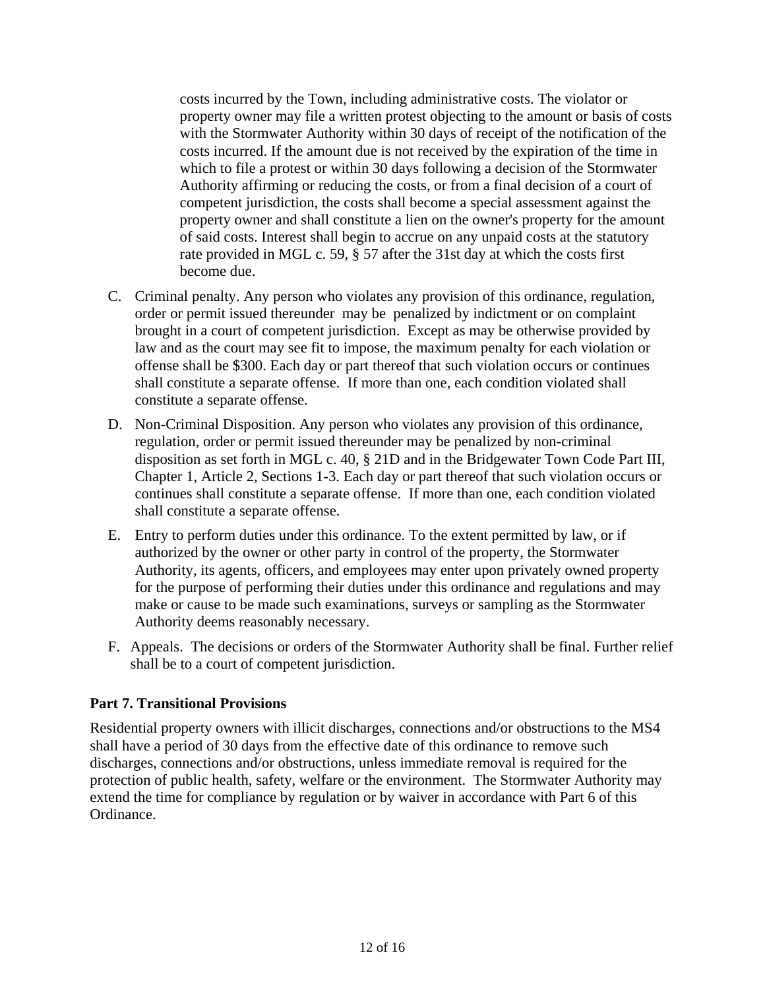costs incurred by the Town, including administrative costs. The violator or property owner may file a written protest objecting to the amount or basis of costs with the Stormwater Authority within 30 days of receipt of the notification of the costs incurred. If the amount due is not received by the expiration of the time in which to file a protest or within 30 days following a decision of the Stormwater Authority affirming or reducing the costs, or from a final decision of a court of competent jurisdiction, the costs shall become a special assessment against the property owner and shall constitute a lien on the owner's property for the amount of said costs. Interest shall begin to accrue on any unpaid costs at the statutory rate provided in MGL c. 59, § 57 after the 31st day at which the costs first become due.

- C. Criminal penalty. Any person who violates any provision of this ordinance, regulation, order or permit issued thereunder may be penalized by indictment or on complaint brought in a court of competent jurisdiction. Except as may be otherwise provided by law and as the court may see fit to impose, the maximum penalty for each violation or offense shall be \$300. Each day or part thereof that such violation occurs or continues shall constitute a separate offense. If more than one, each condition violated shall constitute a separate offense.
- D. Non-Criminal Disposition. Any person who violates any provision of this ordinance, regulation, order or permit issued thereunder may be penalized by non-criminal disposition as set forth in MGL c. 40, § 21D and in the Bridgewater Town Code Part III, Chapter 1, Article 2, Sections 1-3. Each day or part thereof that such violation occurs or continues shall constitute a separate offense. If more than one, each condition violated shall constitute a separate offense.
- E. Entry to perform duties under this ordinance. To the extent permitted by law, or if authorized by the owner or other party in control of the property, the Stormwater Authority, its agents, officers, and employees may enter upon privately owned property for the purpose of performing their duties under this ordinance and regulations and may make or cause to be made such examinations, surveys or sampling as the Stormwater Authority deems reasonably necessary.
- F. Appeals. The decisions or orders of the Stormwater Authority shall be final. Further relief shall be to a court of competent jurisdiction.

# <span id="page-11-0"></span>**Part 7. Transitional Provisions**

Residential property owners with illicit discharges, connections and/or obstructions to the MS4 shall have a period of 30 days from the effective date of this ordinance to remove such discharges, connections and/or obstructions, unless immediate removal is required for the protection of public health, safety, welfare or the environment. The Stormwater Authority may extend the time for compliance by regulation or by waiver in accordance with Part 6 of this Ordinance.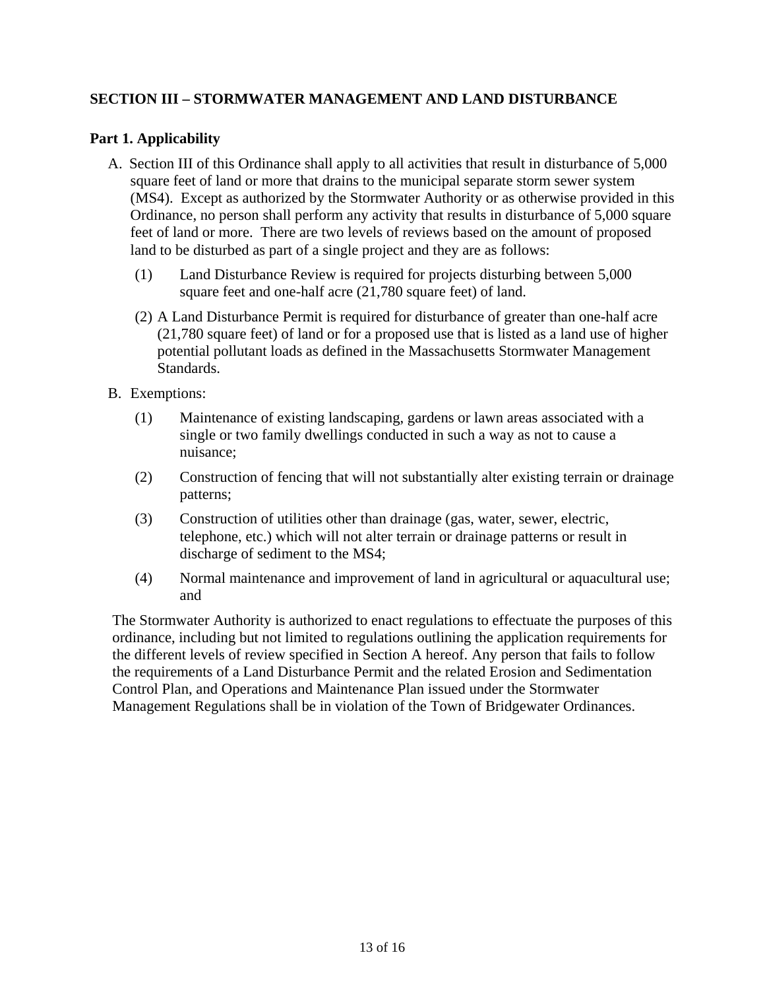# <span id="page-12-0"></span>**SECTION III – STORMWATER MANAGEMENT AND LAND DISTURBANCE**

### <span id="page-12-1"></span>**Part 1. Applicability**

- A. Section III of this Ordinance shall apply to all activities that result in disturbance of 5,000 square feet of land or more that drains to the municipal separate storm sewer system (MS4). Except as authorized by the Stormwater Authority or as otherwise provided in this Ordinance, no person shall perform any activity that results in disturbance of 5,000 square feet of land or more. There are two levels of reviews based on the amount of proposed land to be disturbed as part of a single project and they are as follows:
	- (1) Land Disturbance Review is required for projects disturbing between 5,000 square feet and one-half acre (21,780 square feet) of land.
	- (2) A Land Disturbance Permit is required for disturbance of greater than one-half acre (21,780 square feet) of land or for a proposed use that is listed as a land use of higher potential pollutant loads as defined in the Massachusetts Stormwater Management Standards.
- B. Exemptions:
	- (1) Maintenance of existing landscaping, gardens or lawn areas associated with a single or two family dwellings conducted in such a way as not to cause a nuisance;
	- (2) Construction of fencing that will not substantially alter existing terrain or drainage patterns;
	- (3) Construction of utilities other than drainage (gas, water, sewer, electric, telephone, etc.) which will not alter terrain or drainage patterns or result in discharge of sediment to the MS4;
	- (4) Normal maintenance and improvement of land in agricultural or aquacultural use; and

<span id="page-12-2"></span>The Stormwater Authority is authorized to enact regulations to effectuate the purposes of this ordinance, including but not limited to regulations outlining the application requirements for the different levels of review specified in Section A hereof. Any person that fails to follow the requirements of a Land Disturbance Permit and the related Erosion and Sedimentation Control Plan, and Operations and Maintenance Plan issued under the Stormwater Management Regulations shall be in violation of the Town of Bridgewater Ordinances.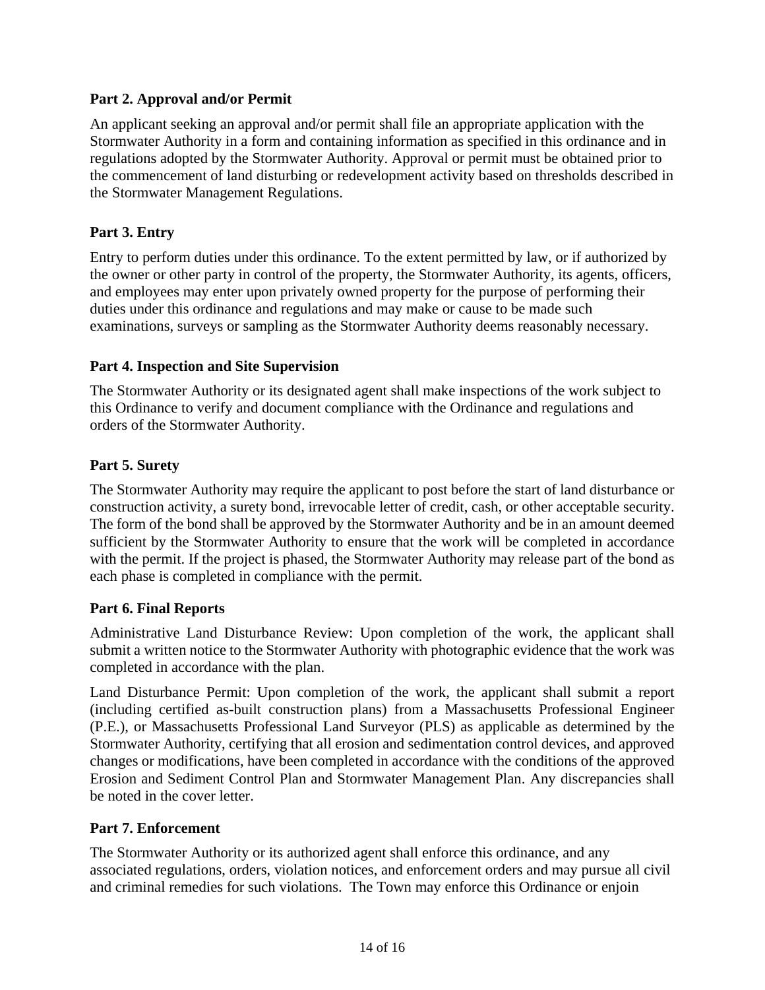# **Part 2. Approval and/or Permit**

An applicant seeking an approval and/or permit shall file an appropriate application with the Stormwater Authority in a form and containing information as specified in this ordinance and in regulations adopted by the Stormwater Authority. Approval or permit must be obtained prior to the commencement of land disturbing or redevelopment activity based on thresholds described in the Stormwater Management Regulations.

# <span id="page-13-0"></span>**Part 3. Entry**

Entry to perform duties under this ordinance. To the extent permitted by law, or if authorized by the owner or other party in control of the property, the Stormwater Authority, its agents, officers, and employees may enter upon privately owned property for the purpose of performing their duties under this ordinance and regulations and may make or cause to be made such examinations, surveys or sampling as the Stormwater Authority deems reasonably necessary.

# <span id="page-13-1"></span>**Part 4. Inspection and Site Supervision**

The Stormwater Authority or its designated agent shall make inspections of the work subject to this Ordinance to verify and document compliance with the Ordinance and regulations and orders of the Stormwater Authority.

# <span id="page-13-2"></span>**Part 5. Surety**

The Stormwater Authority may require the applicant to post before the start of land disturbance or construction activity, a surety bond, irrevocable letter of credit, cash, or other acceptable security. The form of the bond shall be approved by the Stormwater Authority and be in an amount deemed sufficient by the Stormwater Authority to ensure that the work will be completed in accordance with the permit. If the project is phased, the Stormwater Authority may release part of the bond as each phase is completed in compliance with the permit.

# <span id="page-13-3"></span>**Part 6. Final Reports**

Administrative Land Disturbance Review: Upon completion of the work, the applicant shall submit a written notice to the Stormwater Authority with photographic evidence that the work was completed in accordance with the plan.

Land Disturbance Permit: Upon completion of the work, the applicant shall submit a report (including certified as-built construction plans) from a Massachusetts Professional Engineer (P.E.), or Massachusetts Professional Land Surveyor (PLS) as applicable as determined by the Stormwater Authority, certifying that all erosion and sedimentation control devices, and approved changes or modifications, have been completed in accordance with the conditions of the approved Erosion and Sediment Control Plan and Stormwater Management Plan. Any discrepancies shall be noted in the cover letter.

# <span id="page-13-4"></span>**Part 7. Enforcement**

The Stormwater Authority or its authorized agent shall enforce this ordinance, and any associated regulations, orders, violation notices, and enforcement orders and may pursue all civil and criminal remedies for such violations. The Town may enforce this Ordinance or enjoin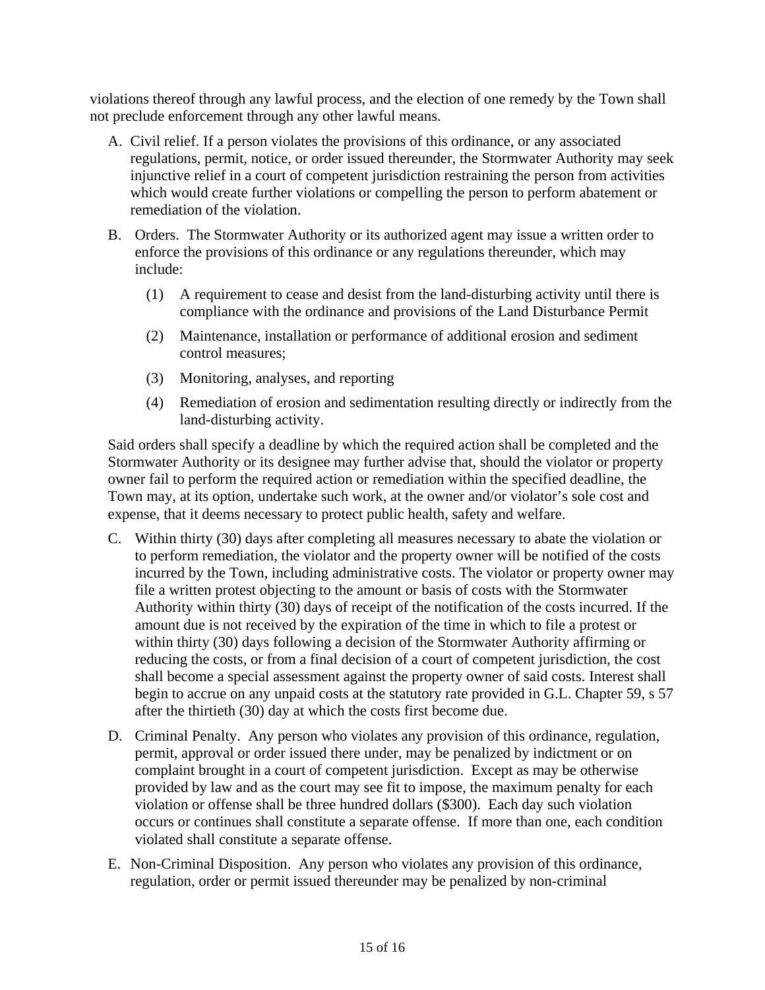violations thereof through any lawful process, and the election of one remedy by the Town shall not preclude enforcement through any other lawful means.

- A. Civil relief. If a person violates the provisions of this ordinance, or any associated regulations, permit, notice, or order issued thereunder, the Stormwater Authority may seek injunctive relief in a court of competent jurisdiction restraining the person from activities which would create further violations or compelling the person to perform abatement or remediation of the violation.
- B. Orders. The Stormwater Authority or its authorized agent may issue a written order to enforce the provisions of this ordinance or any regulations thereunder, which may include:
	- (1) A requirement to cease and desist from the land-disturbing activity until there is compliance with the ordinance and provisions of the Land Disturbance Permit
	- (2) Maintenance, installation or performance of additional erosion and sediment control measures;
	- (3) Monitoring, analyses, and reporting
	- (4) Remediation of erosion and sedimentation resulting directly or indirectly from the land-disturbing activity.

Said orders shall specify a deadline by which the required action shall be completed and the Stormwater Authority or its designee may further advise that, should the violator or property owner fail to perform the required action or remediation within the specified deadline, the Town may, at its option, undertake such work, at the owner and/or violator's sole cost and expense, that it deems necessary to protect public health, safety and welfare.

- C. Within thirty (30) days after completing all measures necessary to abate the violation or to perform remediation, the violator and the property owner will be notified of the costs incurred by the Town, including administrative costs. The violator or property owner may file a written protest objecting to the amount or basis of costs with the Stormwater Authority within thirty (30) days of receipt of the notification of the costs incurred. If the amount due is not received by the expiration of the time in which to file a protest or within thirty (30) days following a decision of the Stormwater Authority affirming or reducing the costs, or from a final decision of a court of competent jurisdiction, the cost shall become a special assessment against the property owner of said costs. Interest shall begin to accrue on any unpaid costs at the statutory rate provided in G.L. Chapter 59, s 57 after the thirtieth (30) day at which the costs first become due.
- D. Criminal Penalty. Any person who violates any provision of this ordinance, regulation, permit, approval or order issued there under, may be penalized by indictment or on complaint brought in a court of competent jurisdiction. Except as may be otherwise provided by law and as the court may see fit to impose, the maximum penalty for each violation or offense shall be three hundred dollars (\$300). Each day such violation occurs or continues shall constitute a separate offense. If more than one, each condition violated shall constitute a separate offense.
- E. Non-Criminal Disposition. Any person who violates any provision of this ordinance, regulation, order or permit issued thereunder may be penalized by non-criminal